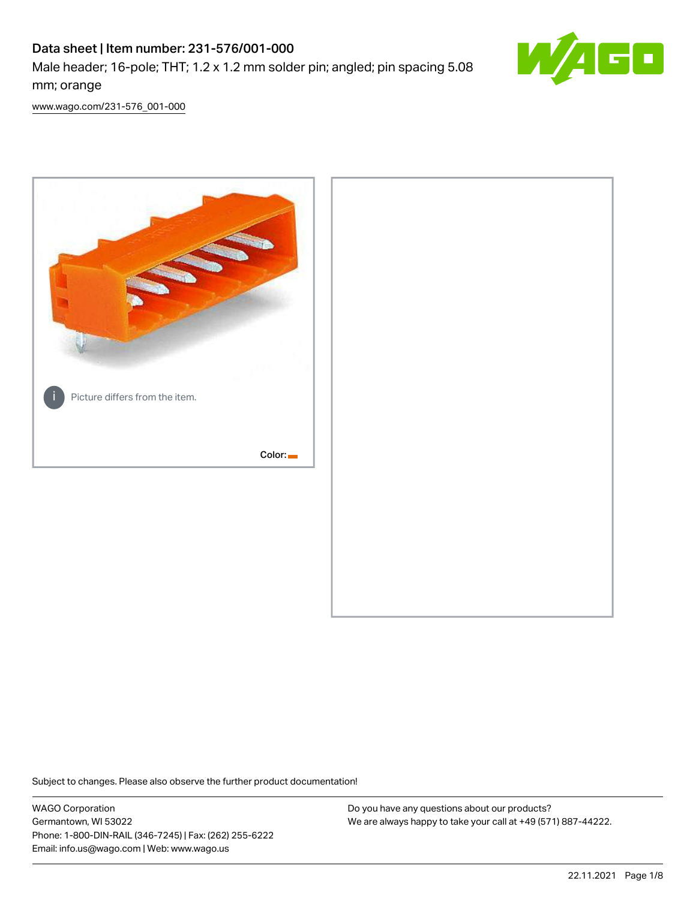# Data sheet | Item number: 231-576/001-000

Male header; 16-pole; THT; 1.2 x 1.2 mm solder pin; angled; pin spacing 5.08 mm; orange



[www.wago.com/231-576\\_001-000](http://www.wago.com/231-576_001-000)



Subject to changes. Please also observe the further product documentation!

WAGO Corporation Germantown, WI 53022 Phone: 1-800-DIN-RAIL (346-7245) | Fax: (262) 255-6222 Email: info.us@wago.com | Web: www.wago.us

Do you have any questions about our products? We are always happy to take your call at +49 (571) 887-44222.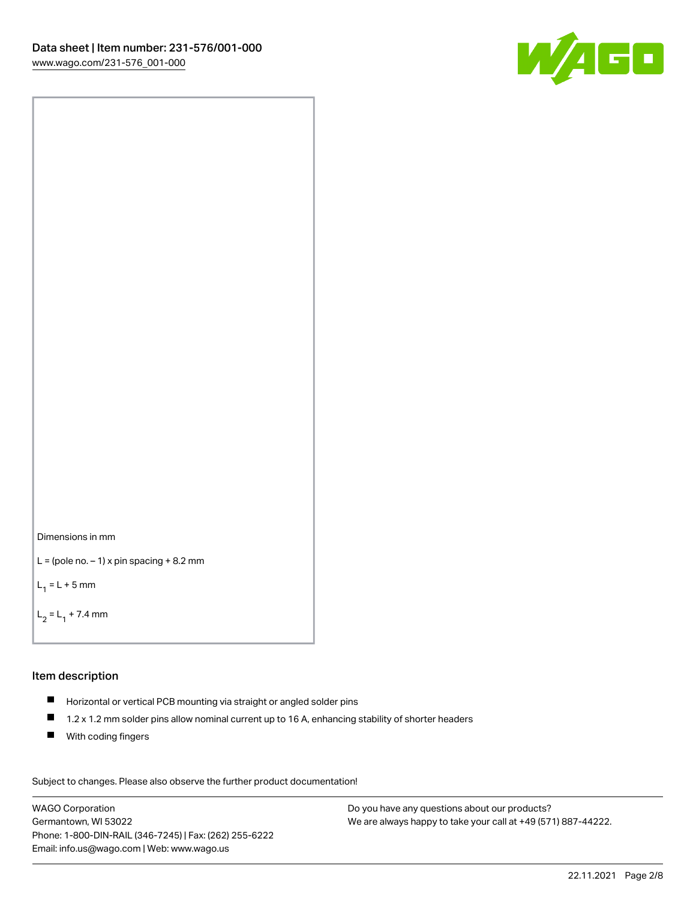



```
L = (pole no. -1) x pin spacing +8.2 mm
```
 $L_1 = L + 5$  mm

```
L_2 = L_1 + 7.4 mm
```
# Item description

- Horizontal or vertical PCB mounting via straight or angled solder pins
- $\blacksquare$ 1.2 x 1.2 mm solder pins allow nominal current up to 16 A, enhancing stability of shorter headers
- **With coding fingers**

Subject to changes. Please also observe the further product documentation! Data

WAGO Corporation Germantown, WI 53022 Phone: 1-800-DIN-RAIL (346-7245) | Fax: (262) 255-6222 Email: info.us@wago.com | Web: www.wago.us

Do you have any questions about our products? We are always happy to take your call at +49 (571) 887-44222.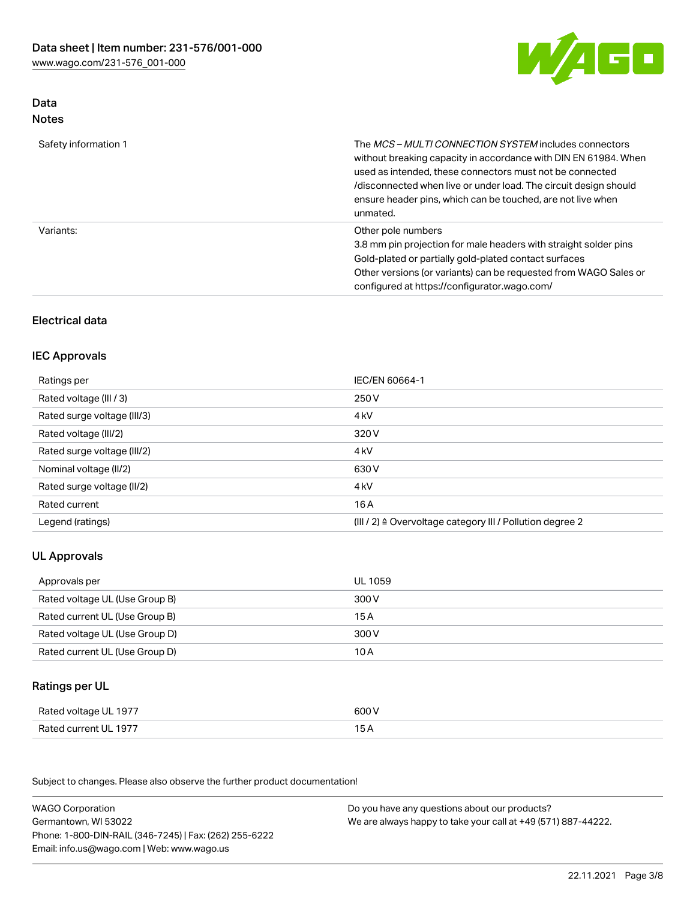

## Data Notes

| Safety information 1 | The <i>MCS – MULTI CONNECTION SYSTEM</i> includes connectors<br>without breaking capacity in accordance with DIN EN 61984. When<br>used as intended, these connectors must not be connected<br>/disconnected when live or under load. The circuit design should<br>ensure header pins, which can be touched, are not live when<br>unmated. |
|----------------------|--------------------------------------------------------------------------------------------------------------------------------------------------------------------------------------------------------------------------------------------------------------------------------------------------------------------------------------------|
| Variants:            | Other pole numbers<br>3.8 mm pin projection for male headers with straight solder pins<br>Gold-plated or partially gold-plated contact surfaces<br>Other versions (or variants) can be requested from WAGO Sales or<br>configured at https://configurator.wago.com/                                                                        |

## Electrical data

## IEC Approvals

| Ratings per                 | IEC/EN 60664-1                                                        |
|-----------------------------|-----------------------------------------------------------------------|
| Rated voltage (III / 3)     | 250 V                                                                 |
| Rated surge voltage (III/3) | 4 <sub>k</sub> V                                                      |
| Rated voltage (III/2)       | 320 V                                                                 |
| Rated surge voltage (III/2) | 4 <sub>k</sub> V                                                      |
| Nominal voltage (II/2)      | 630 V                                                                 |
| Rated surge voltage (II/2)  | 4 <sub>k</sub> V                                                      |
| Rated current               | 16 A                                                                  |
| Legend (ratings)            | $(III / 2)$ $\triangle$ Overvoltage category III / Pollution degree 2 |

## UL Approvals

| Approvals per                  | UL 1059 |
|--------------------------------|---------|
| Rated voltage UL (Use Group B) | 300 V   |
| Rated current UL (Use Group B) | 15 A    |
| Rated voltage UL (Use Group D) | 300 V   |
| Rated current UL (Use Group D) | 10 A    |

## Ratings per UL

| Rated voltage UL 1977 | 600 V |
|-----------------------|-------|
| Rated current UL 1977 |       |

Subject to changes. Please also observe the further product documentation!

| <b>WAGO Corporation</b>                                | Do you have any questions about our products?                 |
|--------------------------------------------------------|---------------------------------------------------------------|
| Germantown, WI 53022                                   | We are always happy to take your call at +49 (571) 887-44222. |
| Phone: 1-800-DIN-RAIL (346-7245)   Fax: (262) 255-6222 |                                                               |
| Email: info.us@wago.com   Web: www.wago.us             |                                                               |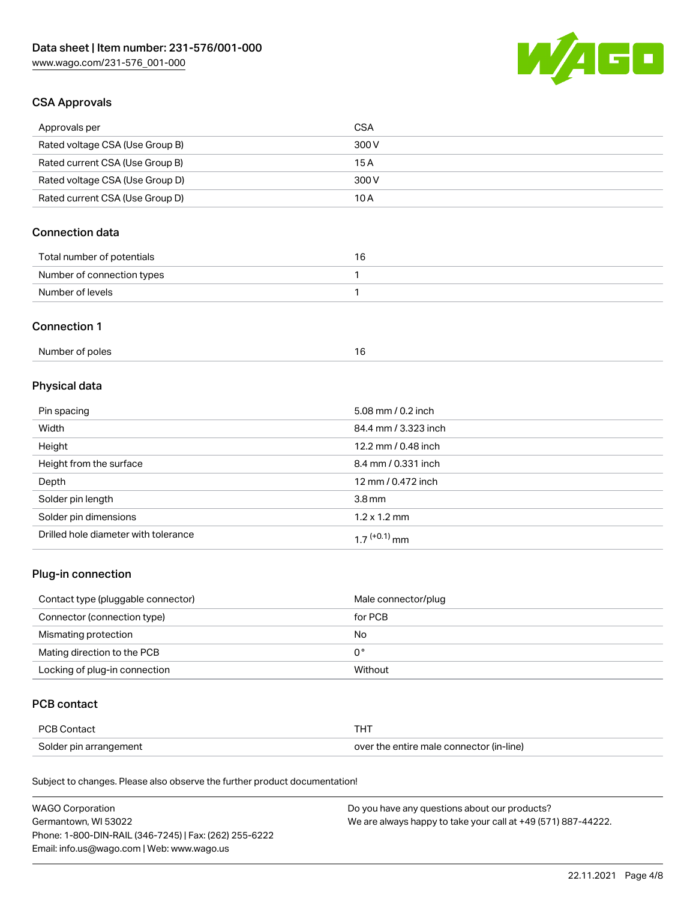

## CSA Approvals

| Approvals per                   | CSA   |
|---------------------------------|-------|
| Rated voltage CSA (Use Group B) | 300 V |
| Rated current CSA (Use Group B) | 15 A  |
| Rated voltage CSA (Use Group D) | 300 V |
| Rated current CSA (Use Group D) | 10 A  |

## Connection data

| Total number of potentials |  |
|----------------------------|--|
| Number of connection types |  |
| Number of levels           |  |

#### Connection 1

# Physical data

| Pin spacing                          | 5.08 mm / 0.2 inch   |
|--------------------------------------|----------------------|
| Width                                | 84.4 mm / 3.323 inch |
| Height                               | 12.2 mm / 0.48 inch  |
| Height from the surface              | 8.4 mm / 0.331 inch  |
| Depth                                | 12 mm / 0.472 inch   |
| Solder pin length                    | 3.8 <sub>mm</sub>    |
| Solder pin dimensions                | $1.2 \times 1.2$ mm  |
| Drilled hole diameter with tolerance | $17^{(+0.1)}$ mm     |

## Plug-in connection

| Contact type (pluggable connector) | Male connector/plug |
|------------------------------------|---------------------|
| Connector (connection type)        | for PCB             |
| Mismating protection               | No                  |
| Mating direction to the PCB        | 0°                  |
| Locking of plug-in connection      | Without             |

## PCB contact

| PCB Contact            |                                          |
|------------------------|------------------------------------------|
| Solder pin arrangement | over the entire male connector (in-line) |

Subject to changes. Please also observe the further product documentation!

| <b>WAGO Corporation</b>                                | Do you have any questions about our products?                 |
|--------------------------------------------------------|---------------------------------------------------------------|
| Germantown, WI 53022                                   | We are always happy to take your call at +49 (571) 887-44222. |
| Phone: 1-800-DIN-RAIL (346-7245)   Fax: (262) 255-6222 |                                                               |
| Email: info.us@wago.com   Web: www.wago.us             |                                                               |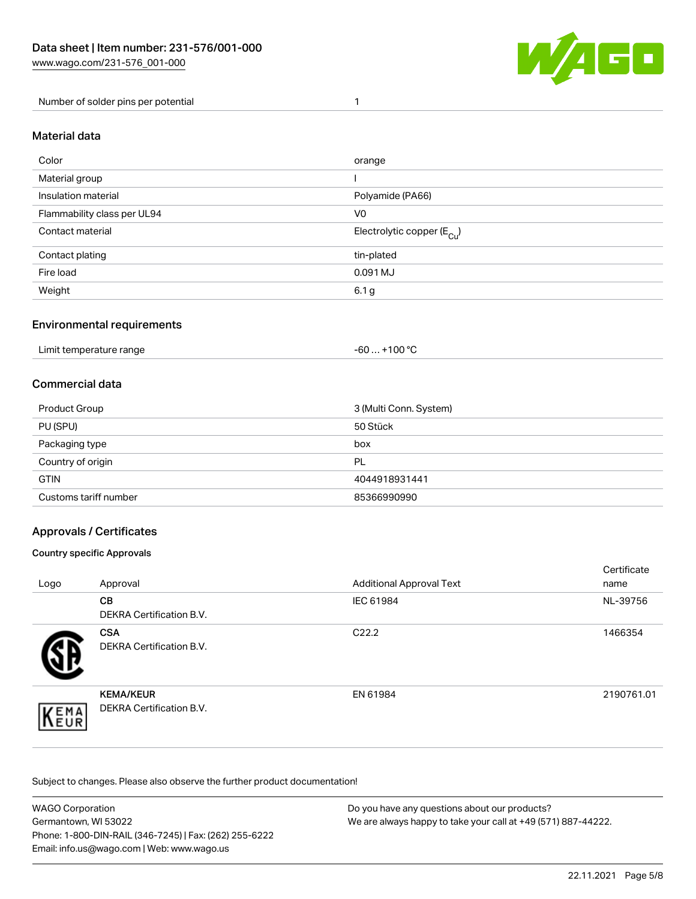

Number of solder pins per potential 1

#### Material data

| Color                       | orange                                 |
|-----------------------------|----------------------------------------|
| Material group              |                                        |
| Insulation material         | Polyamide (PA66)                       |
| Flammability class per UL94 | V <sub>0</sub>                         |
| Contact material            | Electrolytic copper (E <sub>Cu</sub> ) |
| Contact plating             | tin-plated                             |
| Fire load                   | 0.091 MJ                               |
| Weight                      | 6.1 <sub>g</sub>                       |

## Environmental requirements

Limit temperature range  $-60... +100$  °C

### Commercial data

| Product Group         | 3 (Multi Conn. System) |
|-----------------------|------------------------|
| PU (SPU)              | 50 Stück               |
| Packaging type        | box                    |
| Country of origin     | PL                     |
| <b>GTIN</b>           | 4044918931441          |
| Customs tariff number | 85366990990            |

## Approvals / Certificates

#### Country specific Approvals

| Logo               | Approval                                            | <b>Additional Approval Text</b> | Certificate<br>name |
|--------------------|-----------------------------------------------------|---------------------------------|---------------------|
|                    | <b>CB</b><br><b>DEKRA Certification B.V.</b>        | IEC 61984                       | NL-39756            |
|                    | <b>CSA</b><br>DEKRA Certification B.V.              | C <sub>22.2</sub>               | 1466354             |
| EMA<br><b>NEUR</b> | <b>KEMA/KEUR</b><br><b>DEKRA Certification B.V.</b> | EN 61984                        | 2190761.01          |

Subject to changes. Please also observe the further product documentation!

| <b>WAGO Corporation</b>                                | Do you have any questions about our products?                 |
|--------------------------------------------------------|---------------------------------------------------------------|
| Germantown, WI 53022                                   | We are always happy to take your call at +49 (571) 887-44222. |
| Phone: 1-800-DIN-RAIL (346-7245)   Fax: (262) 255-6222 |                                                               |
| Email: info.us@wago.com   Web: www.wago.us             |                                                               |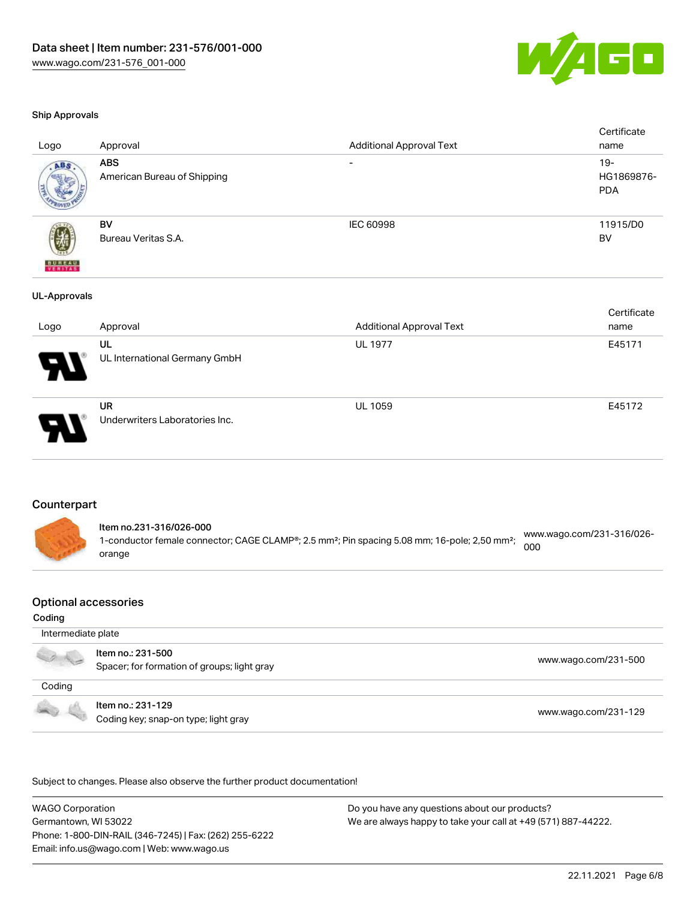

#### Ship Approvals

| Logo                | Approval                                  | <b>Additional Approval Text</b> | Certificate<br>name                |
|---------------------|-------------------------------------------|---------------------------------|------------------------------------|
| ABS                 | <b>ABS</b><br>American Bureau of Shipping |                                 | $19 -$<br>HG1869876-<br><b>PDA</b> |
| <b>BUREAU</b>       | BV<br>Bureau Veritas S.A.                 | IEC 60998                       | 11915/D0<br>BV                     |
| <b>UL-Approvals</b> |                                           |                                 |                                    |
| Logo                | Approval                                  | <b>Additional Approval Text</b> | Certificate<br>name                |
|                     | UL<br>UL International Germany GmbH       | <b>UL 1977</b>                  | E45171                             |



UR Underwriters Laboratories Inc.

#### Counterpart

Item no.231-316/026-000 1-conductor female connector; CAGE CLAMP®; 2.5 mm²; Pin spacing 5.08 mm; 16-pole; 2,50 mm²; orange [www.wago.com/231-316/026-](https://www.wago.com/231-316/026-000) [000](https://www.wago.com/231-316/026-000)

#### Optional accessories

#### Coding

 Intermediate plate Item no.: 231-500 J. Not the second that the second second the second second second that [www.wago.com/231-500](http://www.wago.com/231-500) spacer; for formation of groups; light gray Coding Item no.: 231-129 Coding key; snap-on type; light gray [www.wago.com/231-129](http://www.wago.com/231-129)

.<br>Subject to changes. Please also observe the further product documentation!

WAGO Corporation Germantown, WI 53022 Phone: 1-800-DIN-RAIL (346-7245) | Fax: (262) 255-6222 Email: info.us@wago.com | Web: www.wago.us

Do you have any questions about our products? We are always happy to take your call at +49 (571) 887-44222.

UL 1059 E45172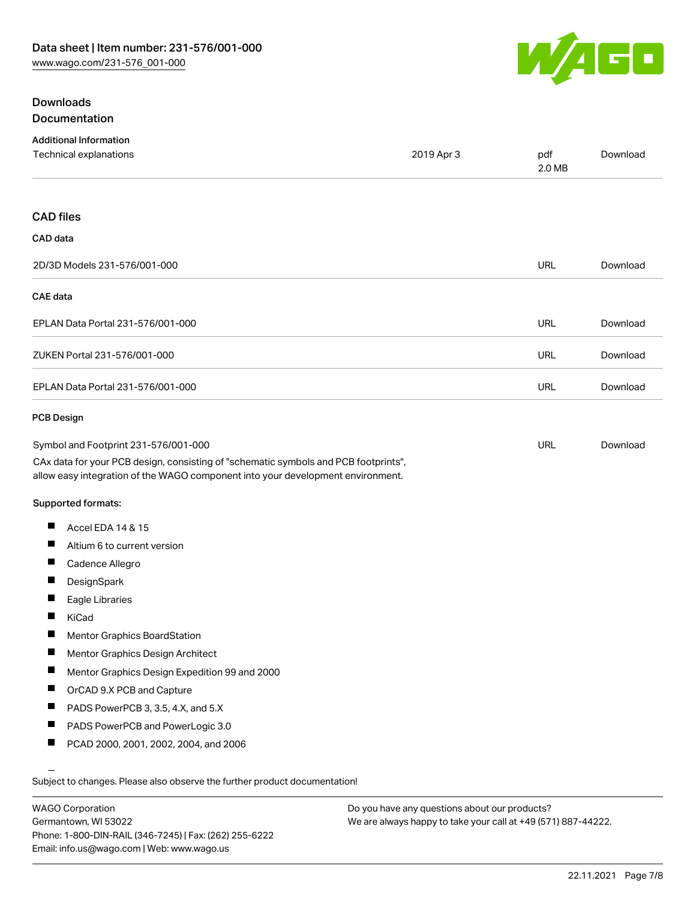

## **Downloads** Documentation

| <b>Additional Information</b><br>Technical explanations                                                                                                                | 2019 Apr 3 | pdf<br>2.0 MB | Download |
|------------------------------------------------------------------------------------------------------------------------------------------------------------------------|------------|---------------|----------|
|                                                                                                                                                                        |            |               |          |
| <b>CAD files</b>                                                                                                                                                       |            |               |          |
| CAD data                                                                                                                                                               |            |               |          |
| 2D/3D Models 231-576/001-000                                                                                                                                           |            | <b>URL</b>    | Download |
| <b>CAE</b> data                                                                                                                                                        |            |               |          |
| EPLAN Data Portal 231-576/001-000                                                                                                                                      |            | URL           | Download |
| ZUKEN Portal 231-576/001-000                                                                                                                                           |            | <b>URL</b>    | Download |
| EPLAN Data Portal 231-576/001-000                                                                                                                                      |            | URL           | Download |
| <b>PCB Design</b>                                                                                                                                                      |            |               |          |
| Symbol and Footprint 231-576/001-000                                                                                                                                   |            | <b>URL</b>    | Download |
| CAx data for your PCB design, consisting of "schematic symbols and PCB footprints",<br>allow easy integration of the WAGO component into your development environment. |            |               |          |
| Supported formats:                                                                                                                                                     |            |               |          |
| Ш<br>Accel EDA 14 & 15                                                                                                                                                 |            |               |          |
| Ш<br>Altium 6 to current version                                                                                                                                       |            |               |          |
| П<br>Cadence Allegro                                                                                                                                                   |            |               |          |
| Ш<br>DesignSpark                                                                                                                                                       |            |               |          |
| Eagle Libraries                                                                                                                                                        |            |               |          |
| KiCad                                                                                                                                                                  |            |               |          |
| Ш<br>Mentor Graphics BoardStation                                                                                                                                      |            |               |          |
| П<br>Mentor Graphics Design Architect                                                                                                                                  |            |               |          |
| ш<br>Mentor Graphics Design Expedition 99 and 2000                                                                                                                     |            |               |          |
| ш<br>OrCAD 9.X PCB and Capture                                                                                                                                         |            |               |          |
| PADS PowerPCB 3, 3.5, 4.X, and 5.X                                                                                                                                     |            |               |          |
| Ш<br>PADS PowerPCB and PowerLogic 3.0                                                                                                                                  |            |               |          |
| ш<br>PCAD 2000, 2001, 2002, 2004, and 2006                                                                                                                             |            |               |          |
| Subject to changes. Please also observe the further product documentation!                                                                                             |            |               |          |

WAGO Corporation Germantown, WI 53022 Phone: 1-800-DIN-RAIL (346-7245) | Fax: (262) 255-6222 Email: info.us@wago.com | Web: www.wago.us

Do you have any questions about our products? We are always happy to take your call at +49 (571) 887-44222.